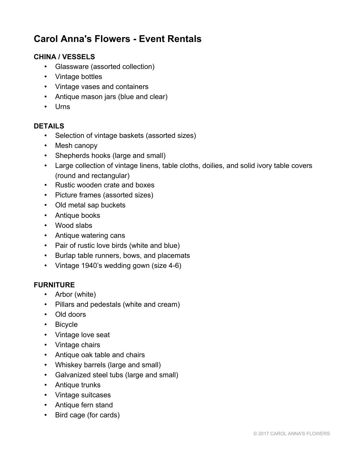# **Carol Anna's Flowers - Event Rentals**

### **CHINA / VESSELS**

- Glassware (assorted collection)
- Vintage bottles
- Vintage vases and containers
- Antique mason jars (blue and clear)
- Urns

#### **DETAILS**

- Selection of vintage baskets (assorted sizes)
- Mesh canopy
- Shepherds hooks (large and small)
- Large collection of vintage linens, table cloths, doilies, and solid ivory table covers (round and rectangular)
- Rustic wooden crate and boxes
- Picture frames (assorted sizes)
- Old metal sap buckets
- Antique books
- Wood slabs
- Antique watering cans
- Pair of rustic love birds (white and blue)
- Burlap table runners, bows, and placemats
- Vintage 1940's wedding gown (size 4-6)

#### **FURNITURE**

- Arbor (white)
- Pillars and pedestals (white and cream)
- Old doors
- Bicycle
- Vintage love seat
- Vintage chairs
- Antique oak table and chairs
- Whiskey barrels (large and small)
- Galvanized steel tubs (large and small)
- Antique trunks
- Vintage suitcases
- Antique fern stand
- Bird cage (for cards)